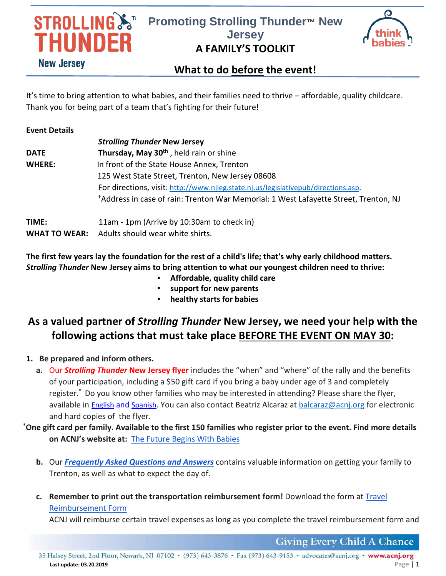# **STROLLING ST HUNDER New Jersey**

## **Promoting Strolling Thunder™ New Jersey A FAMILY'S TOOLKIT**



### **What to do before the event!**

It's time to bring attention to what babies, and their families need to thrive – affordable, quality childcare. Thank you for being part of a team that's fighting for their future!

| <b>Event Details</b> |                                                                                                  |
|----------------------|--------------------------------------------------------------------------------------------------|
|                      | <b>Strolling Thunder New Jersey</b>                                                              |
| <b>DATE</b>          | Thursday, May 30 <sup>th</sup> , held rain or shine                                              |
| <b>WHERE:</b>        | In front of the State House Annex, Trenton                                                       |
|                      | 125 West State Street, Trenton, New Jersey 08608                                                 |
|                      | For directions, visit: http://www.njleg.state.nj.us/legislativepub/directions.asp.               |
|                      | <sup>†</sup> Address in case of rain: Trenton War Memorial: 1 West Lafayette Street, Trenton, NJ |
| TIME:                | 11am - 1pm (Arrive by 10:30am to check in)                                                       |
|                      |                                                                                                  |

**WHAT TO WEAR:** Adults should wear white shirts.

**The first few years lay the foundation for the rest of a child's life; that's why early childhood matters.**  *Strolling Thunder* **New Jersey aims to bring attention to what our youngest children need to thrive:**

- **Affordable, quality child care**
- support for new parents
- **healthy starts for babies**

### **As a valued partner of** *Strolling Thunder* **New Jersey, we need your help with the following actions that must take place BEFORE THE EVENT ON MAY 30:**

- **1. Be prepared and inform others.**
	- **a.** Our *Strolling Thunder* **New Jersey flyer** includes the "when" and "where" of the rally and the benefits of your participation, including a \$50 gift card if you bring a baby under age of 3 and completely register.**\*** Do you know other families who may be interested in attending? Please share the flyer, available in [English](https://acnj.org/downloads/2019_strollingthunderposter_eng.pdf) and [Spanish.](https://acnj.org/downloads/2019_strollingthunderposter_spa.pdf) You can also contact Beatriz Alcaraz at [balcaraz@acnj.org](mailto:balcaraz@acnj.org) for electronic and hard copies of the flyer.
- **\*One gift card per family. Available to the first 150 families who register prior to the event. Find more details on ACNJ's website at:** [The Future Begins With Babies](https://acnj.org/issues/early-learning/birth-to-three/strolling-thunder-new-jersey-2019/)
	- **b.** Our *[Frequently Asked Questions and Answers](https://acnj.org/downloads/2019_strolling_thundertravelfaqs.pdf)* contains valuable information on getting your family to Trenton, as well as what to expect the day of.
	- **c. Remember to print out the transportation reimbursement form!** Download the form a[t Travel](https://acnj.org/downloads/2019_strolling_thundertravelexpenseform.pdf)  [Reimbursement Form](https://acnj.org/downloads/2019_strolling_thundertravelexpenseform.pdf)

ACNJ will reimburse certain travel expenses as long as you complete the travel reimbursement form and

**Giving Every Child A Chance** 

35 Halsey Street, 2nd Floor, Newark, NJ 07102 • (973) 643-3876 • Fax (973) 643-9153 • advocates@acnj.org • www.acnj.org **Last update: 03.20.2019** Page | 1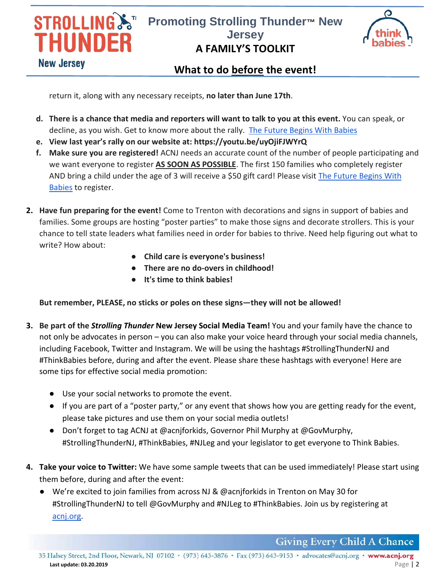

## **Promoting Strolling Thunder™ New Jersey A FAMILY'S TOOLKIT**



#### **What to do before the event!**

return it, along with any necessary receipts, **no later than June 17th**.

- **d. There is a chance that media and reporters will want to talk to you at this event.** You can speak, or decline, as you wish. Get to know more about the rally. [The Future Begins With Babies](https://acnj.org/issues/early-learning/birth-to-three/get-involved/)
- **e. View last year's rally on our website at: https://youtu.be/uyOjiFJWYrQ**
- **f. Make sure you are registered!** ACNJ needs an accurate count of the number of people participating and we want everyone to register **AS SOON AS POSSIBLE**. The first 150 families who completely register AND bring a child under the age of 3 will receive a \$50 gift card! Please visit The Future Begins With **[Babies](https://acnj.org/issues/early-learning/birth-to-three/)** to register.
- **2. Have fun preparing for the event!** Come to Trenton with decorations and signs in support of babies and families. Some groups are hosting "poster parties" to make those signs and decorate strollers. This is your chance to tell state leaders what families need in order for babies to thrive. Need help figuring out what to write? How about:
	- **Child care is everyone's business!**
	- **There are no do-overs in childhood!**
	- **It's time to think babies!**

**But remember, PLEASE, no sticks or poles on these signs—they will not be allowed!** 

- **3. Be part of the** *Strolling Thunder* **New Jersey Social Media Team!** You and your family have the chance to not only be advocates in person – you can also make your voice heard through your social media channels, including Facebook, Twitter and Instagram. We will be using the hashtags #StrollingThunderNJ and #ThinkBabies before, during and after the event. Please share these hashtags with everyone! Here are some tips for effective social media promotion:
	- Use your social networks to promote the event.
	- If you are part of a "poster party," or any event that shows how you are getting ready for the event, please take pictures and use them on your social media outlets!
	- Don't forget to tag ACNJ at @acnjforkids, Governor Phil Murphy at @GovMurphy, #StrollingThunderNJ, #ThinkBabies, #NJLeg and your legislator to get everyone to Think Babies.
- **4. Take your voice to Twitter:** We have some sample tweets that can be used immediately! Please start using them before, during and after the event:
	- **●** We're excited to join families from across NJ & @acnjforkids in Trenton on May 30 for #StrollingThunderNJ to tell @GovMurphy and #NJLeg to #ThinkBabies. Join us by registering at [acnj.org.](https://acnj.org/issues/early-learning/birth-to-three/strolling-thunder-new-jersey-2019/)